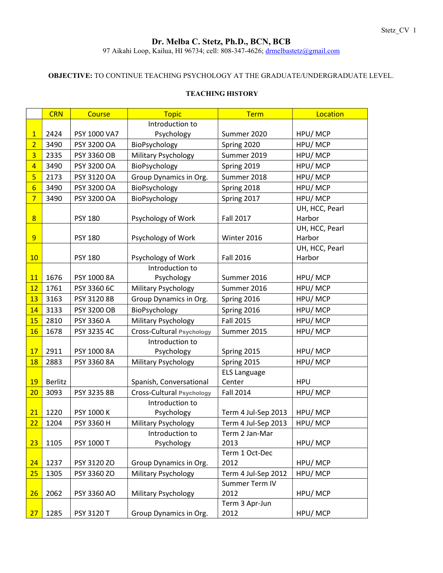# Dr. Melba C. Stetz, Ph.D., BCN, BCB

97 Aikahi Loop, Kailua, HI 96734; cell: 808-347-4626; drmelbastetz@gmail.com

## OBJECTIVE: TO CONTINUE TEACHING PSYCHOLOGY AT THE GRADUATE/UNDERGRADUATE LEVEL.

|                 | <b>CRN</b> | <b>Course</b>      | <b>Topic</b>                             | <b>Term</b>                                | Location       |
|-----------------|------------|--------------------|------------------------------------------|--------------------------------------------|----------------|
|                 |            |                    | Introduction to                          |                                            |                |
| $\mathbf{1}$    | 2424       | PSY 1000 VA7       | Psychology                               | Summer 2020                                | HPU/MCP        |
| $\overline{2}$  | 3490       | PSY 3200 OA        | BioPsychology                            | Spring 2020                                | HPU/MCP        |
| $\overline{3}$  | 2335       | <b>PSY 3360 OB</b> | <b>Military Psychology</b>               | Summer 2019                                | HPU/MCP        |
| $\overline{4}$  | 3490       | PSY 3200 OA        | BioPsychology                            | Spring 2019                                | HPU/MCP        |
| 5               | 2173       | PSY 3120 OA        | Group Dynamics in Org.                   | Summer 2018                                | HPU/MCP        |
| $6\overline{6}$ | 3490       | PSY 3200 OA        | BioPsychology                            | Spring 2018                                | HPU/MCP        |
| $\overline{7}$  | 3490       | PSY 3200 OA        | BioPsychology                            | Spring 2017                                | HPU/MCP        |
|                 |            |                    |                                          |                                            | UH, HCC, Pearl |
| 8               |            | <b>PSY 180</b>     | Psychology of Work                       | <b>Fall 2017</b>                           | Harbor         |
|                 |            |                    |                                          |                                            | UH, HCC, Pearl |
| 9               |            | <b>PSY 180</b>     | Psychology of Work                       | Winter 2016                                | Harbor         |
|                 |            |                    |                                          |                                            | UH, HCC, Pearl |
| 10              |            | <b>PSY 180</b>     | Psychology of Work                       | <b>Fall 2016</b>                           | Harbor         |
|                 |            |                    | Introduction to                          |                                            |                |
| 11              | 1676       | PSY 1000 8A        | Psychology                               | Summer 2016                                | HPU/MCP        |
| 12              | 1761       | PSY 3360 6C        | Military Psychology                      | Summer 2016                                | HPU/MCP        |
| 13              | 3163       | PSY 3120 8B        | Group Dynamics in Org.                   | Spring 2016                                | HPU/MCP        |
| 14              | 3133       | <b>PSY 3200 OB</b> | BioPsychology                            | Spring 2016                                | HPU/MCP        |
| 15              | 2810       | PSY 3360 A         | Military Psychology                      | <b>Fall 2015</b>                           | HPU/MCP        |
| 16              | 1678       | PSY 3235 4C        | <b>Cross-Cultural Psychology</b>         | Summer 2015                                | HPU/MCP        |
|                 |            |                    | Introduction to                          |                                            |                |
| 17              | 2911       | PSY 1000 8A        | Psychology                               | Spring 2015                                | HPU/MCP        |
| 18              | 2883       | PSY 3360 8A        | Military Psychology                      | Spring 2015                                | HPU/MCP        |
|                 |            |                    |                                          | <b>ELS Language</b>                        |                |
| 19              | Berlitz    |                    | Spanish, Conversational                  | Center                                     | <b>HPU</b>     |
| 20              | 3093       | PSY 3235 8B        | <b>Cross-Cultural Psychology</b>         | <b>Fall 2014</b>                           | HPU/MCP        |
| 21              | 1220       | PSY 1000 K         | Introduction to                          |                                            | HPU/MCP        |
| 22              | 1204       |                    | Psychology<br><b>Military Psychology</b> | Term 4 Jul-Sep 2013<br>Term 4 Jul-Sep 2013 | HPU/MCP        |
|                 |            | PSY 3360 H         | Introduction to                          | Term 2 Jan-Mar                             |                |
| 23              | 1105       | PSY 1000 T         | Psychology                               | 2013                                       | HPU/MCP        |
|                 |            |                    |                                          | Term 1 Oct-Dec                             |                |
| 24              | 1237       | PSY 3120 ZO        | Group Dynamics in Org.                   | 2012                                       | HPU/MCP        |
| 25              | 1305       | PSY 3360 ZO        | <b>Military Psychology</b>               | Term 4 Jul-Sep 2012                        | HPU/MCP        |
|                 |            |                    |                                          | Summer Term IV                             |                |
| <u>26</u>       | 2062       | PSY 3360 AO        | Military Psychology                      | 2012                                       | HPU/MCP        |
|                 |            |                    |                                          | Term 3 Apr-Jun                             |                |
| 27              | 1285       | PSY 3120 T         | Group Dynamics in Org.                   | 2012                                       | HPU/MCP        |

## TEACHING HISTORY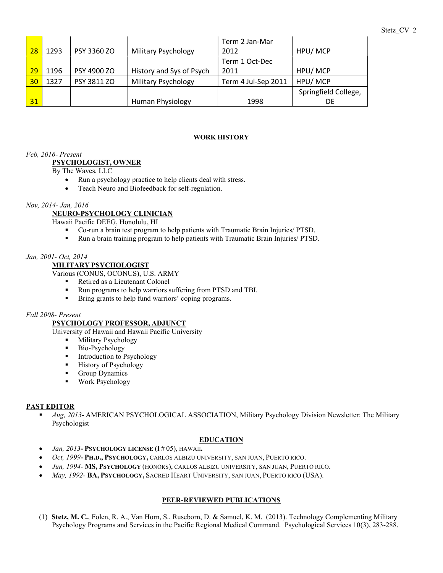|    |      |             |                            | Term 2 Jan-Mar      |                      |
|----|------|-------------|----------------------------|---------------------|----------------------|
| 28 | 1293 | PSY 3360 ZO | <b>Military Psychology</b> | 2012                | HPU/MCP              |
|    |      |             |                            | Term 1 Oct-Dec      |                      |
| 29 | 1196 | PSY 4900 ZO | History and Sys of Psych   | 2011                | HPU/MCP              |
| 30 | 1327 | PSY 3811 ZO | <b>Military Psychology</b> | Term 4 Jul-Sep 2011 | HPU/MCP              |
|    |      |             |                            |                     | Springfield College, |
| 31 |      |             | Human Physiology           | 1998                | DE                   |

#### WORK HISTORY

## Feb, 2016- Present

## PSYCHOLOGIST, OWNER

By The Waves, LLC

- Run a psychology practice to help clients deal with stress.
- Teach Neuro and Biofeedback for self-regulation.

## Nov, 2014- Jan, 2016

# NEURO-PSYCHOLOGY CLINICIAN

Hawaii Pacific DEEG, Honolulu, HI

- Co-run a brain test program to help patients with Traumatic Brain Injuries/ PTSD.
- Run a brain training program to help patients with Traumatic Brain Injuries/ PTSD.

#### Jan, 2001- Oct, 2014

## MILITARY PSYCHOLOGIST

Various (CONUS, OCONUS), U.S. ARMY

- Retired as a Lieutenant Colonel
- Run programs to help warriors suffering from PTSD and TBI.
- **Bring grants to help fund warriors' coping programs.**

#### Fall 2008- Present

## PSYCHOLOGY PROFESSOR, ADJUNCT

University of Hawaii and Hawaii Pacific University

- **Military Psychology**
- Bio-Psychology
- **Introduction to Psychology**
- **History of Psychology**
- Group Dynamics
- Work Psychology

#### PAST EDITOR

 Aug, 2013- AMERICAN PSYCHOLOGICAL ASSOCIATION, Military Psychology Division Newsletter: The Military Psychologist

## EDUCATION

- Jan, 2013- PSYCHOLOGY LICENSE (I#05), HAWAII.
- Oct, 1999- PH.D., PSYCHOLOGY, CARLOS ALBIZU UNIVERSITY, SAN JUAN, PUERTO RICO.
- Jun, 1994- MS, PSYCHOLOGY (HONORS), CARLOS ALBIZU UNIVERSITY, SAN JUAN, PUERTO RICO.
- May, 1992- BA, PSYCHOLOGY, SACRED HEART UNIVERSITY, SAN JUAN, PUERTO RICO (USA).

## PEER-REVIEWED PUBLICATIONS

(1) Stetz, M. C., Folen, R. A., Van Horn, S., Ruseborn, D. & Samuel, K. M. (2013). Technology Complementing Military Psychology Programs and Services in the Pacific Regional Medical Command. Psychological Services 10(3), 283-288.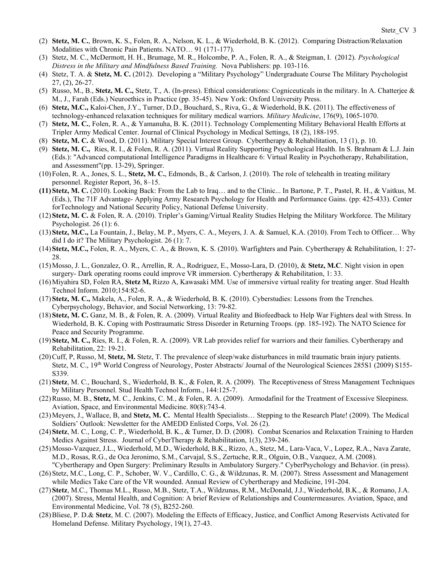- (2) Stetz, M. C., Brown, K. S., Folen, R. A., Nelson, K. L., & Wiederhold, B. K. (2012). Comparing Distraction/Relaxation Modalities with Chronic Pain Patients. NATO… 91 (171-177).
- (3) Stetz, M. C., McDermott, H. H., Brumage, M. R., Holcombe, P. A., Folen, R. A., & Steigman, I. (2012). Psychological Distress in the Military and Mindfulness Based Training. Nova Publishers: pp. 103-116.
- (4) Stetz, T. A. & Stetz, M. C. (2012). Developing a "Military Psychology" Undergraduate Course The Military Psychologist 27, (2), 26-27.
- (5) Russo, M., B., Stetz, M. C., Stetz, T., A. (In-press). Ethical considerations: Cogniceuticals in the military. In A. Chatterjee & M., J., Farah (Eds.) Neuroethics in Practice (pp. 35-45). New York: Oxford University Press.
- (6) Stetz, M.C., Kaloi-Chen, J.Y., Turner, D.D., Bouchard, S., Riva, G., & Wiederhold, B.K. (2011). The effectiveness of technology-enhanced relaxation techniques for military medical warriors. Military Medicine, 176(9), 1065-1070.
- (7) Stetz, M. C., Folen, R. A., & Yamanuha, B. K. (2011). Technology Complementing Military Behavioral Health Efforts at Tripler Army Medical Center. Journal of Clinical Psychology in Medical Settings, 18 (2), 188-195.
- (8) Stetz, M. C. & Wood, D. (2011). Military Special Interest Group. Cybertherapy & Rehabilitation, 13 (1), p. 10.
- (9) Stetz, M. C., Ries, R. I., & Folen, R. A. (2011). Virtual Reality Supporting Psychological Health. In S. Brahnam & L.J. Jain (Eds.): "Advanced computational Intelligence Paradigms in Healthcare 6: Virtual Reality in Psychotherapy, Rehabilitation, and Assessment"(pp. 13-29), Springer.
- (10)Folen, R. A., Jones, S. L., Stetz, M. C., Edmonds, B., & Carlson, J. (2010). The role of telehealth in treating military personnel. Register Report, 36, 8–15.
- (11)Stetz, M. C. (2010). Looking Back: From the Lab to Iraq… and to the Clinic... In Bartone, P. T., Pastel, R. H., & Vaitkus, M. (Eds.), The 71F Advantage- Applying Army Research Psychology for Health and Performance Gains. (pp: 425-433). Center forTechnology and National Security Policy, National Defense University.
- (12)Stetz, M. C. & Folen, R. A. (2010). Tripler's Gaming/Virtual Reality Studies Helping the Military Workforce. The Military Psychologist. 26 (1): 6.
- (13)Stetz, M.C., La Fountain, J., Belay, M. P., Myers, C. A., Meyers, J. A. & Samuel, K.A. (2010). From Tech to Officer… Why did I do it? The Military Psychologist. 26 (1): 7.
- (14)Stetz, M.C., Folen, R. A., Myers, C. A., & Brown, K. S. (2010). Warfighters and Pain. Cybertherapy & Rehabilitation, 1: 27- 28.
- (15)Mosso, J. L., Gonzalez, O. R., Arrellin, R. A., Rodriguez, E., Mosso-Lara, D. (2010), & Stetz, M.C. Night vision in open surgery- Dark operating rooms could improve VR immersion. Cybertherapy & Rehabilitation, 1: 33.
- (16)Miyahira SD, Folen RA, Stetz M, Rizzo A, Kawasaki MM. Use of immersive virtual reality for treating anger. Stud Health Technol Inform. 2010;154:82-6.
- (17)Stetz, M. C., Makela, A., Folen, R. A., & Wiederhold, B. K. (2010). Cyberstudies: Lessons from the Trenches. Cyberpsychology, Behavior, and Social Networking, 13: 79-82.
- (18)Stetz, M. C. Ganz, M. B., & Folen, R. A. (2009). Virtual Reality and Biofeedback to Help War Fighters deal with Stress. In Wiederhold, B. K. Coping with Posttraumatic Stress Disorder in Returning Troops. (pp. 185-192). The NATO Science for Peace and Security Programme.
- (19)Stetz, M. C., Ries, R. I., & Folen, R. A. (2009). VR Lab provides relief for warriors and their families. Cybertherapy and Rehabilitation, 22: 19-21.
- (20)Cuff, P, Russo, M, Stetz, M. Stetz, T. The prevalence of sleep/wake disturbances in mild traumatic brain injury patients. Stetz, M. C., 19th World Congress of Neurology, Poster Abstracts/ Journal of the Neurological Sciences 285S1 (2009) S155- S339.
- (21)Stetz, M. C., Bouchard, S., Wiederhold, B. K., & Folen, R. A. (2009). The Receptiveness of Stress Management Techniques by Military Personnel. Stud Health Technol Inform., 144:125-7.
- (22)Russo, M. B., Stetz, M. C., Jenkins, C. M., & Folen, R. A. (2009). Armodafinil for the Treatment of Excessive Sleepiness. Aviation, Space, and Environmental Medicine. 80(8):743-4.
- (23)Meyers, J., Wallace, B, and Stetz, M. C. Mental Health Specialists… Stepping to the Research Plate! (2009). The Medical Soldiers' Outlook: Newsletter for the AMEDD Enlisted Corps, Vol. 26 (2).
- (24)Stetz, M. C., Long, C. P., Wiederhold, B. K., & Turner, D. D. (2008). Combat Scenarios and Relaxation Training to Harden Medics Against Stress. Journal of CyberTherapy & Rehabilitation, 1(3), 239-246.
- (25)Mosso-Vazquez, J.L., Wiederhold, M.D., Wiederhold, B.K., Rizzo, A., Stetz, M., Lara-Vaca, V., Lopez, R.A., Nava Zarate, M.D., Rosas, R.G., de Oca Jeronimo, S.M., Carvajal, S.S., Zertuche, R.R., Olguin, O.B., Vazquez, A.M. (2008).
- "Cybertherapy and Open Surgery: Preliminary Results in Ambulatory Surgery." CyberPsychology and Behavior. (in press). (26)Stetz, M.C., Long, C. P., Schober, W. V., Cardillo, C. G., & Wildzunas, R. M. (2007). Stress Assessment and Management while Medics Take Care of the VR wounded. Annual Review of Cybertherapy and Medicine, 191-204.
- (27)Stetz, M.C., Thomas M.L., Russo, M.B., Stetz, T.A., Wildzunas, R.M., McDonald, J.J., Wiederhold, B.K., & Romano, J.A. (2007). Stress, Mental Health, and Cognition: A brief Review of Relationships and Countermeasures. Aviation, Space, and Environmental Medicine, Vol. 78 (5), B252-260.
- (28)Bliese, P. D.& Stetz, M. C. (2007). Modeling the Effects of Efficacy, Justice, and Conflict Among Reservists Activated for Homeland Defense. Military Psychology, 19(1), 27-43.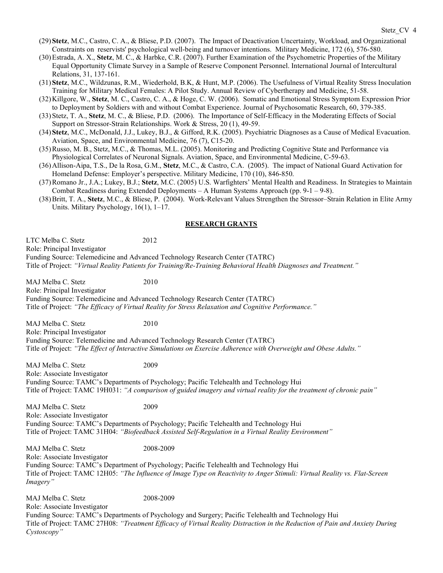- (29)Stetz, M.C., Castro, C. A., & Bliese, P.D. (2007). The Impact of Deactivation Uncertainty, Workload, and Organizational Constraints on reservists' psychological well-being and turnover intentions. Military Medicine, 172 (6), 576-580.
- (30)Estrada, A. X., Stetz, M. C., & Harbke, C.R. (2007). Further Examination of the Psychometric Properties of the Military Equal Opportunity Climate Survey in a Sample of Reserve Component Personnel. International Journal of Intercultural Relations, 31, 137-161.
- (31)Stetz, M.C., Wildzunas, R.M., Wiederhold, B.K, & Hunt, M.P. (2006). The Usefulness of Virtual Reality Stress Inoculation Training for Military Medical Females: A Pilot Study. Annual Review of Cybertherapy and Medicine, 51-58.
- (32)Killgore, W., Stetz, M. C., Castro, C. A., & Hoge, C. W. (2006). Somatic and Emotional Stress Symptom Expression Prior to Deployment by Soldiers with and without Combat Experience. Journal of Psychosomatic Research, 60, 379-385.
- (33)Stetz, T. A., Stetz, M. C., & Bliese, P.D. (2006). The Importance of Self-Efficacy in the Moderating Effects of Social Support on Stressor-Strain Relationships. Work & Stress, 20 (1), 49-59.
- (34)Stetz, M.C., McDonald, J.J., Lukey, B.J., & Gifford, R.K. (2005). Psychiatric Diagnoses as a Cause of Medical Evacuation. Aviation, Space, and Environmental Medicine, 76 (7), C15-20.
- (35)Russo, M. B., Stetz, M.C., & Thomas, M.L. (2005). Monitoring and Predicting Cognitive State and Performance via Physiological Correlates of Neuronal Signals. Aviation, Space, and Environmental Medicine, C-59-63.
- (36)Allison-Aipa, T.S., De la Rosa, G.M., Stetz, M.C., & Castro, C.A. (2005). The impact of National Guard Activation for Homeland Defense: Employer's perspective. Military Medicine, 170 (10), 846-850.
- (37)Romano Jr., J.A.; Lukey, B.J.; Stetz, M.C. (2005) U.S. Warfighters' Mental Health and Readiness. In Strategies to Maintain Combat Readiness during Extended Deployments – A Human Systems Approach (pp.  $9-1-9-8$ ).
- (38)Britt, T. A., Stetz, M.C., & Bliese, P. (2004). Work-Relevant Values Strengthen the Stressor–Strain Relation in Elite Army Units. Military Psychology, 16(1), 1–17.

#### RESEARCH GRANTS

LTC Melba C. Stetz 2012 Role: Principal Investigator Funding Source: Telemedicine and Advanced Technology Research Center (TATRC) Title of Project: "Virtual Reality Patients for Training/Re-Training Behavioral Health Diagnoses and Treatment."

MAJ Melba C. Stetz 2010 Role: Principal Investigator Funding Source: Telemedicine and Advanced Technology Research Center (TATRC) Title of Project: "The Efficacy of Virtual Reality for Stress Relaxation and Cognitive Performance."

MAJ Melba C. Stetz 2010 Role: Principal Investigator Funding Source: Telemedicine and Advanced Technology Research Center (TATRC) Title of Project: "The Effect of Interactive Simulations on Exercise Adherence with Overweight and Obese Adults."

MAJ Melba C. Stetz 2009 Role: Associate Investigator Funding Source: TAMC's Departments of Psychology; Pacific Telehealth and Technology Hui Title of Project: TAMC 19H031: "A comparison of guided imagery and virtual reality for the treatment of chronic pain"

MAJ Melba C. Stetz 2009 Role: Associate Investigator Funding Source: TAMC's Departments of Psychology; Pacific Telehealth and Technology Hui Title of Project: TAMC 31H04: "Biofeedback Assisted Self-Regulation in a Virtual Reality Environment"

MAJ Melba C. Stetz 2008-2009

Role: Associate Investigator Funding Source: TAMC's Department of Psychology; Pacific Telehealth and Technology Hui Title of Project: TAMC 12H05: "The Influence of Image Type on Reactivity to Anger Stimuli: Virtual Reality vs. Flat-Screen Imagery"

MAJ Melba C. Stetz 2008-2009 Role: Associate Investigator Funding Source: TAMC's Departments of Psychology and Surgery; Pacific Telehealth and Technology Hui Title of Project: TAMC 27H08: "Treatment Efficacy of Virtual Reality Distraction in the Reduction of Pain and Anxiety During Cystoscopy"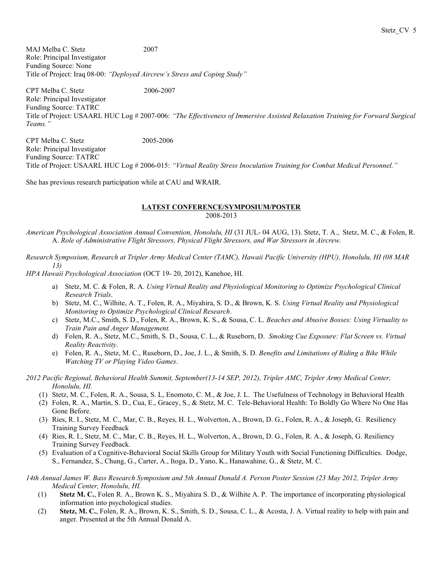MAJ Melba C. Stetz 2007 Role: Principal Investigator Funding Source: None Title of Project: Iraq 08-00: "Deployed Aircrew's Stress and Coping Study"

CPT Melba C. Stetz 2006-2007 Role: Principal Investigator Funding Source: TATRC Title of Project: USAARL HUC Log # 2007-006: "The Effectiveness of Immersive Assisted Relaxation Training for Forward Surgical Teams."

CPT Melba C. Stetz 2005-2006 Role: Principal Investigator Funding Source: TATRC Title of Project: USAARL HUC Log # 2006-015: "Virtual Reality Stress Inoculation Training for Combat Medical Personnel."

She has previous research participation while at CAU and WRAIR.

#### LATEST CONFERENCE/SYMPOSIUM/POSTER 2008-2013

American Psychological Association Annual Convention, Honolulu, HI (31 JUL- 04 AUG, 13). Stetz, T. A., Stetz, M. C., & Folen, R. A. Role of Administrative Flight Stressors, Physical Flight Stressors, and War Stressors in Aircrew.

Research Symposium, Research at Tripler Army Medical Center (TAMC), Hawaii Pacific University (HPU), Honolulu, HI (08 MAR 13)

HPA Hawaii Psychological Association (OCT 19- 20, 2012), Kanehoe, HI.

- a) Stetz, M. C. & Folen, R. A. Using Virtual Reality and Physiological Monitoring to Optimize Psychological Clinical Research Trials.
- b) Stetz, M. C., Wilhite, A. T., Folen, R. A., Miyahira, S. D., & Brown, K. S. Using Virtual Reality and Physiological Monitoring to Optimize Psychological Clinical Research.
- c) Stetz, M.C., Smith, S. D., Folen, R. A., Brown, K. S., & Sousa, C. L. Beaches and Abusive Bosses: Using Virtuality to Train Pain and Anger Management.
- d) Folen, R. A., Stetz, M.C., Smith, S. D., Sousa, C. L., & Ruseborn, D. Smoking Cue Exposure: Flat Screen vs. Virtual Reality Reactivity.
- e) Folen, R. A., Stetz, M. C., Ruseborn, D., Joe, J. L., & Smith, S. D. Benefits and Limitations of Riding a Bike While Watching TV or Playing Video Games.

2012 Pacific Regional, Behavioral Health Summit, September(13-14 SEP, 2012), Tripler AMC, Tripler Army Medical Center, Honolulu, HI.

- (1) Stetz, M. C., Folen, R. A., Sousa, S. L, Enomoto, C. M., & Joe, J. L. The Usefulness of Technology in Behavioral Health
- (2) Folen, R. A., Martin, S. D., Cua, E., Gracey, S., & Stetz, M. C. Tele-Behavioral Health: To Boldly Go Where No One Has Gone Before.
- (3) Ries, R. I., Stetz, M. C., Mar, C. B., Reyes, H. L., Wolverton, A., Brown, D. G., Folen, R. A., & Joseph, G. Resiliency Training Survey Feedback
- (4) Ries, R. I., Stetz, M. C., Mar, C. B., Reyes, H. L., Wolverton, A., Brown, D. G., Folen, R. A., & Joseph, G. Resiliency Training Survey Feedback.
- (5) Evaluation of a Cognitive-Behavioral Social Skills Group for Military Youth with Social Functioning Difficulties. Dodge, S., Fernandez, S., Chung, G., Carter, A., Itoga, D., Yano, K., Hanawahine, G., & Stetz, M. C.

14th Annual James W. Bass Research Symposium and 5th Annual Donald A. Person Poster Session (23 May 2012, Tripler Army Medical Center, Honolulu, HI.

- (1) Stetz M. C., Folen R. A., Brown K. S., Miyahira S. D., & Wilhite A. P. The importance of incorporating physiological information into psychological studies.
- (2) Stetz, M. C., Folen, R. A., Brown, K. S., Smith, S. D., Sousa, C. L., & Acosta, J. A. Virtual reality to help with pain and anger. Presented at the 5th Annual Donald A.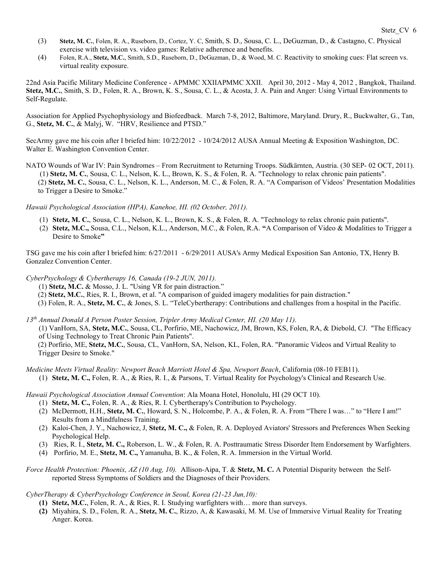- (3) Stetz, M. C., Folen, R. A., Ruseborn, D., Cortez, Y. C, Smith, S. D., Sousa, C. L., DeGuzman, D., & Castagno, C. Physical exercise with television vs. video games: Relative adherence and benefits.
- (4) Folen, R.A., Stetz, M.C., Smith, S.D., Ruseborn, D., DeGuzman, D., & Wood, M. C. Reactivity to smoking cues: Flat screen vs. virtual reality exposure.

22nd Asia Pacific Military Medicine Conference - APMMC XXIIAPMMC XXII. April 30, 2012 - May 4, 2012 , Bangkok, Thailand. Stetz, M.C., Smith, S. D., Folen, R. A., Brown, K. S., Sousa, C. L., & Acosta, J. A. Pain and Anger: Using Virtual Environments to Self-Regulate.

Association for Applied Psychophysiology and Biofeedback. March 7-8, 2012, Baltimore, Maryland. Drury, R., Buckwalter, G., Tan, G., Stetz, M. C., & Malyj, W. "HRV, Resilience and PTSD."

SecArmy gave me his coin after I briefed him: 10/22/2012 - 10/24/2012 AUSA Annual Meeting & Exposition Washington, DC. Walter E. Washington Convention Center.

NATO Wounds of War IV: Pain Syndromes – From Recruitment to Returning Troops. Südkärnten, Austria. (30 SEP- 02 OCT, 2011). (1) Stetz, M. C., Sousa, C. L., Nelson, K. L., Brown, K. S., & Folen, R. A. "Technology to relax chronic pain patients". (2) Stetz, M. C., Sousa, C. L., Nelson, K. L., Anderson, M. C., & Folen, R. A. "A Comparison of Videos' Presentation Modalities to Trigger a Desire to Smoke."

Hawaii Psychological Association (HPA), Kanehoe, HI. (02 October, 2011).

- (1) Stetz, M. C., Sousa, C. L., Nelson, K. L., Brown, K. S., & Folen, R. A. "Technology to relax chronic pain patients".
- (2) Stetz, M.C., Sousa, C.L., Nelson, K.L., Anderson, M.C., & Folen, R.A. "A Comparison of Video & Modalities to Trigger a Desire to Smoke"

TSG gave me his coin after I briefed him: 6/27/2011 - 6/29/2011 AUSA's Army Medical Exposition San Antonio, TX, Henry B. Gonzalez Convention Center.

CyberPsychology & Cybertherapy 16, Canada (19-2 JUN, 2011).

- (1) Stetz, M.C. & Mosso, J. L. "Using VR for pain distraction."
- (2) Stetz, M.C., Ries, R. I., Brown, et al. "A comparison of guided imagery modalities for pain distraction."
- (3) Folen, R. A., Stetz, M. C., & Jones, S. L. "TeleCybertherapy: Contributions and challenges from a hospital in the Pacific.

13th Annual Donald A Person Poster Session, Tripler Army Medical Center, HI. (20 May 11).

 (1) VanHorn, SA, Stetz, M.C., Sousa, CL, Porfirio, ME, Nachowicz, JM, Brown, KS, Folen, RA, & Diebold, CJ. "The Efficacy of Using Technology to Treat Chronic Pain Patients".

(2) Porfirio, ME, Stetz, M.C., Sousa, CL, VanHorn, SA, Nelson, KL, Folen, RA. "Panoramic Videos and Virtual Reality to Trigger Desire to Smoke."

Medicine Meets Virtual Reality: Newport Beach Marriott Hotel & Spa, Newport Beach, California (08-10 FEB11). (1) Stetz, M. C., Folen, R. A., & Ries, R. I., & Parsons, T. Virtual Reality for Psychology's Clinical and Research Use.

Hawaii Psychological Association Annual Convention: Ala Moana Hotel, Honolulu, HI (29 OCT 10).

- (1) Stetz, M. C., Folen, R. A., & Ries, R. I. Cybertherapy's Contribution to Psychology.
- (2) McDermott, H.H., Stetz, M. C., Howard, S. N., Holcombe, P. A., & Folen, R. A. From "There I was…" to "Here I am!" Results from a Mindfulness Training.
- (2) Kaloi-Chen, J. Y., Nachowicz, J, Stetz, M. C., & Folen, R. A. Deployed Aviators' Stressors and Preferences When Seeking Psychological Help.
- (3) Ries, R. I., Stetz, M. C., Roberson, L. W., & Folen, R. A. Posttraumatic Stress Disorder Item Endorsement by Warfighters.
- (4) Porfirio, M. E., Stetz, M. C., Yamanuha, B. K., & Folen, R. A. Immersion in the Virtual World.

Force Health Protection: Phoenix, AZ (10 Aug, 10). Allison-Aipa, T. & Stetz, M. C. A Potential Disparity between the Selfreported Stress Symptoms of Soldiers and the Diagnoses of their Providers.

CyberTherapy & CyberPsychology Conference in Seoul, Korea (21-23 Jun,10):

- (1) Stetz, M.C., Folen, R. A., & Ries, R. I. Studying warfighters with… more than surveys.
- (2) Miyahira, S. D., Folen, R. A., Stetz, M. C., Rizzo, A, & Kawasaki, M. M. Use of Immersive Virtual Reality for Treating Anger. Korea.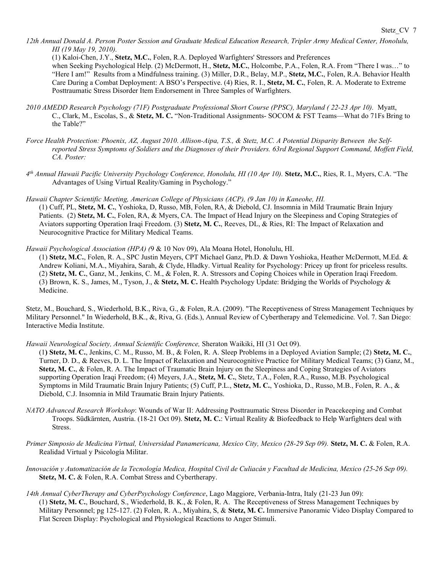12th Annual Donald A. Person Poster Session and Graduate Medical Education Research, Tripler Army Medical Center, Honolulu, HI (19 May 19, 2010).

(1) Kaloi-Chen, J.Y., Stetz, M.C., Folen, R.A. Deployed Warfighters' Stressors and Preferences when Seeking Psychological Help. (2) McDermott, H., Stetz, M.C., Holcombe, P.A., Folen, R.A. From "There I was..." to "Here I am!" Results from a Mindfulness training. (3) Miller, D.R., Belay, M.P., Stetz, M.C., Folen, R.A. Behavior Health Care During a Combat Deployment: A BSO's Perspective. (4) Ries, R. I., Stetz, M. C., Folen, R. A. Moderate to Extreme Posttraumatic Stress Disorder Item Endorsement in Three Samples of Warfighters.

- 2010 AMEDD Research Psychology (71F) Postgraduate Professional Short Course (PPSC), Maryland ( 22-23 Apr 10). Myatt, C., Clark, M., Escolas, S., & Stetz, M. C. "Non-Traditional Assignments- SOCOM & FST Teams—What do 71Fs Bring to the Table?"
- Force Health Protection: Phoenix, AZ, August 2010. Allison-Aipa, T.S., & Stetz, M.C. A Potential Disparity Between the Selfreported Stress Symptoms of Soldiers and the Diagnoses of their Providers. 63rd Regional Support Command, Moffett Field, CA. Poster:
- 4<sup>th</sup> Annual Hawaii Pacific University Psychology Conference, Honolulu, HI (10 Apr 10). Stetz, M.C., Ries, R. I., Myers, C.A. "The Advantages of Using Virtual Reality/Gaming in Psychology."
- Hawaii Chapter Scientific Meeting, American College of Physicians (ACP), (9 Jan 10) in Kaneohe, HI. (1) Cuff, PL, Stetz, M. C., Yoshioka, D, Russo, MB, Folen, RA, & Diebold, CJ. Insomnia in Mild Traumatic Brain Injury Patients. (2) Stetz, M. C., Folen, RA, & Myers, CA. The Impact of Head Injury on the Sleepiness and Coping Strategies of Aviators supporting Operation Iraqi Freedom. (3) Stetz, M. C., Reeves, DL, & Ries, RI: The Impact of Relaxation and Neurocognitive Practice for Military Medical Teams.
- Hawaii Psychological Association (HPA) (9 & 10 Nov 09), Ala Moana Hotel, Honolulu, HI.
	- (1) Stetz, M.C., Folen, R. A., SPC Justin Meyers, CPT Michael Ganz, Ph.D. & Dawn Yoshioka, Heather McDermott, M.Ed. & Andrew Koliani, M.A., Miyahira, Sarah, & Clyde, Hladky. Virtual Reality for Psychology: Pricey up front for priceless results. (2) Stetz, M. C., Ganz, M., Jenkins, C. M., & Folen, R. A. Stressors and Coping Choices while in Operation Iraqi Freedom. (3) Brown, K. S., James, M., Tyson, J., & Stetz, M. C. Health Psychology Update: Bridging the Worlds of Psychology & Medicine.

Stetz, M., Bouchard, S., Wiederhold, B.K., Riva, G., & Folen, R.A. (2009). "The Receptiveness of Stress Management Techniques by Military Personnel." In Wiederhold, B.K., &, Riva, G. (Eds.), Annual Review of Cybertherapy and Telemedicine. Vol. 7. San Diego: Interactive Media Institute.

- Hawaii Neurological Society, Annual Scientific Conference, Sheraton Waikiki, HI (31 Oct 09).
	- (1) Stetz, M. C., Jenkins, C. M., Russo, M. B., & Folen, R. A. Sleep Problems in a Deployed Aviation Sample; (2) Stetz, M. C., Turner, D. D., & Reeves, D. L. The Impact of Relaxation and Neurocognitive Practice for Military Medical Teams; (3) Ganz, M., Stetz, M. C., & Folen, R. A. The Impact of Traumatic Brain Injury on the Sleepiness and Coping Strategies of Aviators supporting Operation Iraqi Freedom; (4) Meyers, J.A., Stetz, M. C., Stetz, T.A., Folen, R.A., Russo, M.B. Psychological Symptoms in Mild Traumatic Brain Injury Patients; (5) Cuff, P.L., Stetz, M. C., Yoshioka, D., Russo, M.B., Folen, R. A., & Diebold, C.J. Insomnia in Mild Traumatic Brain Injury Patients.
- NATO Advanced Research Workshop: Wounds of War II: Addressing Posttraumatic Stress Disorder in Peacekeeping and Combat Troops. Südkärnten, Austria. (18-21 Oct 09). Stetz, M. C.: Virtual Reality & Biofeedback to Help Warfighters deal with Stress.
- Primer Simposio de Medicina Virtual, Universidad Panamericana, Mexico City, Mexico (28-29 Sep 09). Stetz, M. C. & Folen, R.A. Realidad Virtual y Psicología Militar.
- Innovación y Automatización de la Tecnología Medica, Hospital Civil de Culiacán y Facultad de Medicina, Mexico (25-26 Sep 09). Stetz, M. C. & Folen, R.A. Combat Stress and Cybertherapy.
- 14th Annual CyberTherapy and CyberPsychology Conference, Lago Maggiore, Verbania-Intra, Italy (21-23 Jun 09): (1) Stetz, M. C., Bouchard, S., Wiederhold, B. K., & Folen, R. A. The Receptiveness of Stress Management Techniques by Military Personnel; pg 125-127. (2) Folen, R. A., Miyahira, S, & Stetz, M. C. Immersive Panoramic Video Display Compared to Flat Screen Display: Psychological and Physiological Reactions to Anger Stimuli.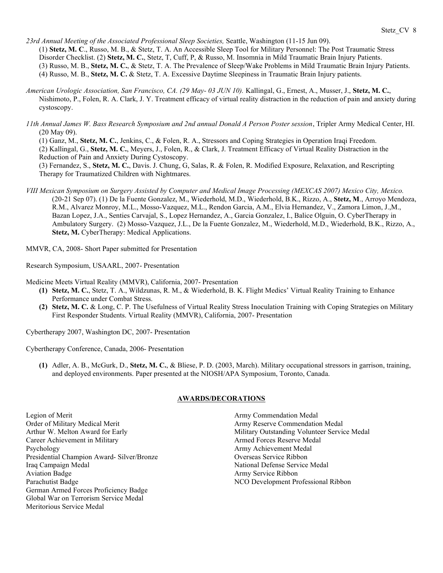23rd Annual Meeting of the Associated Professional Sleep Societies, Seattle, Washington (11-15 Jun 09). (1) Stetz, M. C., Russo, M. B., & Stetz, T. A. An Accessible Sleep Tool for Military Personnel: The Post Traumatic Stress Disorder Checklist. (2) Stetz, M. C., Stetz, T. Cuff, P. & Russo, M. Insomnia in Mild Traumatic Brain Injury Patients. (3) Russo, M. B., Stetz, M. C., & Stetz, T. A. The Prevalence of Sleep/Wake Problems in Mild Traumatic Brain Injury Patients. (4) Russo, M. B., Stetz, M. C. & Stetz, T. A. Excessive Daytime Sleepiness in Traumatic Brain Injury patients.

- American Urologic Association, San Francisco, CA. (29 May- 03 JUN 10). Kallingal, G., Ernest, A., Musser, J., Stetz, M. C., Nishimoto, P., Folen, R. A. Clark, J. Y. Treatment efficacy of virtual reality distraction in the reduction of pain and anxiety during cystoscopy.
- 11th Annual James W. Bass Research Symposium and 2nd annual Donald A Person Poster session, Tripler Army Medical Center, HI. (20 May 09).

(1) Ganz, M., Stetz, M. C., Jenkins, C., & Folen, R. A., Stressors and Coping Strategies in Operation Iraqi Freedom. (2) Kallingal, G., Stetz, M. C., Meyers, J., Folen, R., & Clark, J. Treatment Efficacy of Virtual Reality Distraction in the Reduction of Pain and Anxiety During Cystoscopy.

(3) Fernandez, S., Stetz, M. C., Davis. J. Chung, G, Salas, R. & Folen, R. Modified Exposure, Relaxation, and Rescripting Therapy for Traumatized Children with Nightmares.

VIII Mexican Symposium on Surgery Assisted by Computer and Medical Image Processing (MEXCAS 2007) Mexico City, Mexico. (20-21 Sep 07). (1) De la Fuente Gonzalez, M., Wiederhold, M.D., Wiederhold, B.K., Rizzo, A., Stetz, M., Arroyo Mendoza, R.M., Alvarez Monroy, M.L., Mosso-Vazquez, M.L., Rendon Garcia, A.M., Elvia Hernandez, V., Zamora Limon, J.,M., Bazan Lopez, J.A., Senties Carvajal, S., Lopez Hernandez, A., Garcia Gonzalez, I., Balice Olguin, O. CyberTherapy in Ambulatory Surgery. (2) Mosso-Vazquez, J.L., De la Fuente Gonzalez, M., Wiederhold, M.D., Wiederhold, B.K., Rizzo, A., Stetz, M. CyberTherapy: Medical Applications.

MMVR, CA, 2008- Short Paper submitted for Presentation

Research Symposium, USAARL, 2007- Presentation

Medicine Meets Virtual Reality (MMVR), California, 2007- Presentation

- (1) Stetz, M. C., Stetz, T. A., Wildzunas, R. M., & Wiederhold, B. K. Flight Medics' Virtual Reality Training to Enhance Performance under Combat Stress.
- (2) Stetz, M. C. & Long, C. P. The Usefulness of Virtual Reality Stress Inoculation Training with Coping Strategies on Military First Responder Students. Virtual Reality (MMVR), California, 2007- Presentation

Cybertherapy 2007, Washington DC, 2007- Presentation

Cybertherapy Conference, Canada, 2006- Presentation

(1) Adler, A. B., McGurk, D., Stetz, M. C., & Bliese, P. D. (2003, March). Military occupational stressors in garrison, training, and deployed environments. Paper presented at the NIOSH/APA Symposium, Toronto, Canada.

#### AWARDS/DECORATIONS

Legion of Merit Order of Military Medical Merit Arthur W. Melton Award for Early Career Achievement in Military Psychology Presidential Champion Award- Silver/Bronze Iraq Campaign Medal Aviation Badge Parachutist Badge German Armed Forces Proficiency Badge Global War on Terrorism Service Medal Meritorious Service Medal

Army Commendation Medal Army Reserve Commendation Medal Military Outstanding Volunteer Service Medal Armed Forces Reserve Medal Army Achievement Medal Overseas Service Ribbon National Defense Service Medal Army Service Ribbon NCO Development Professional Ribbon